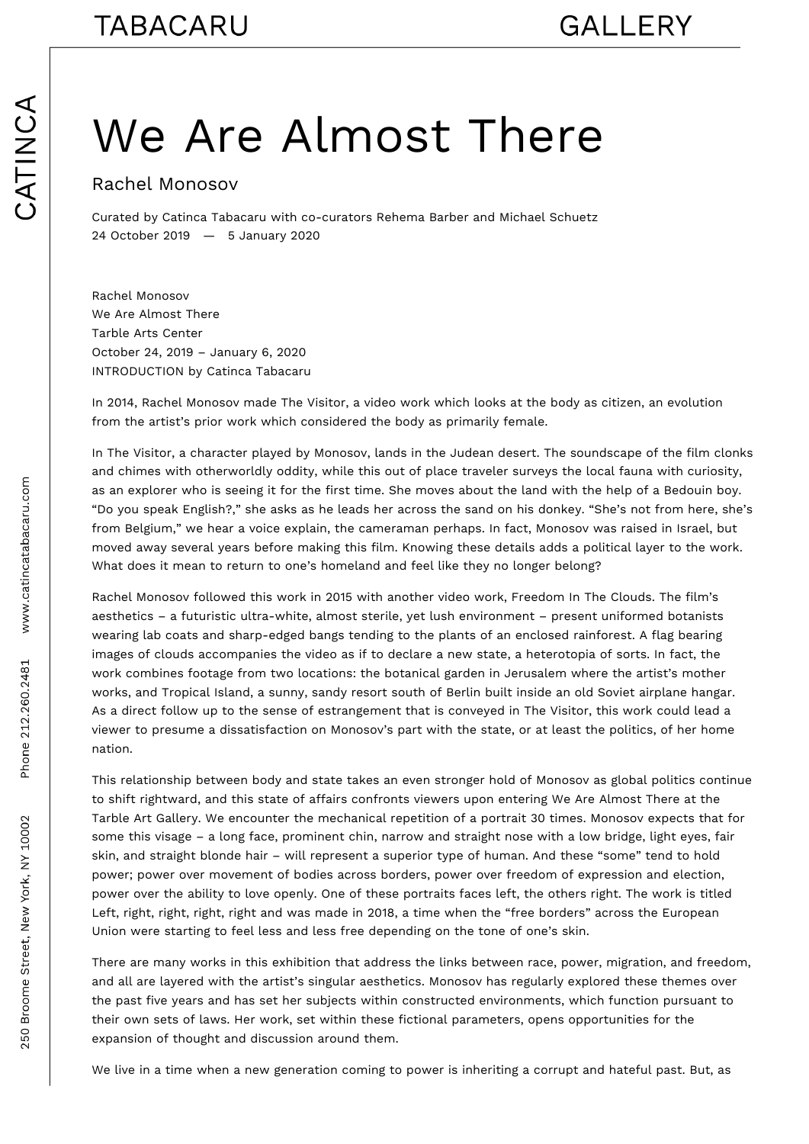## We Are Almost There

## Rachel Monosov

Curated by Catinca Tabacaru with co-curators Rehema Barber and Michael Schuetz 24 October 2019 — 5 January 2020

Rachel Monosov We Are Almost There Tarble Arts Center October 24, 2019 – January 6, 2020 INTRODUCTION by Catinca Tabacaru

In 2014, Rachel Monosov made The Visitor, a video work which looks at the body as citizen, an evolution from the artist's prior work which considered the body as primarily female.

In The Visitor, a character played by Monosov, lands in the Judean desert. The soundscape of the film clonks and chimes with otherworldly oddity, while this out of place traveler surveys the local fauna with curiosity, as an explorer who is seeing it for the first time. She moves about the land with the help of a Bedouin boy. "Do you speak English?," she asks as he leads her across the sand on his donkey. "She's not from here, she's from Belgium," we hear a voice explain, the cameraman perhaps. In fact, Monosov was raised in Israel, but moved away several years before making this film. Knowing these details adds a political layer to the work. What does it mean to return to one's homeland and feel like they no longer belong?

Rachel Monosov followed this work in 2015 with another video work, Freedom In The Clouds. The film's aesthetics – a futuristic ultra-white, almost sterile, yet lush environment – present uniformed botanists wearing lab coats and sharp-edged bangs tending to the plants of an enclosed rainforest. A flag bearing images of clouds accompanies the video as if to declare a new state, a heterotopia of sorts. In fact, the work combines footage from two locations: the botanical garden in Jerusalem where the artist's mother works, and Tropical Island, a sunny, sandy resort south of Berlin built inside an old Soviet airplane hangar. As a direct follow up to the sense of estrangement that is conveyed in The Visitor, this work could lead a viewer to presume a dissatisfaction on Monosov's part with the state, or at least the politics, of her home nation.

This relationship between body and state takes an even stronger hold of Monosov as global politics continue to shift rightward, and this state of affairs confronts viewers upon entering We Are Almost There at the Tarble Art Gallery. We encounter the mechanical repetition of a portrait 30 times. Monosov expects that for some this visage – a long face, prominent chin, narrow and straight nose with a low bridge, light eyes, fair skin, and straight blonde hair – will represent a superior type of human. And these "some" tend to hold power; power over movement of bodies across borders, power over freedom of expression and election, power over the ability to love openly. One of these portraits faces left, the others right. The work is titled Left, right, right, right, right and was made in 2018, a time when the "free borders" across the European Union were starting to feel less and less free depending on the tone of one's skin.

There are many works in this exhibition that address the links between race, power, migration, and freedom, and all are layered with the artist's singular aesthetics. Monosov has regularly explored these themes over the past five years and has set her subjects within constructed environments, which function pursuant to their own sets of laws. Her work, set within these fictional parameters, opens opportunities for the expansion of thought and discussion around them.

We live in a time when a new generation coming to power is inheriting a corrupt and hateful past. But, as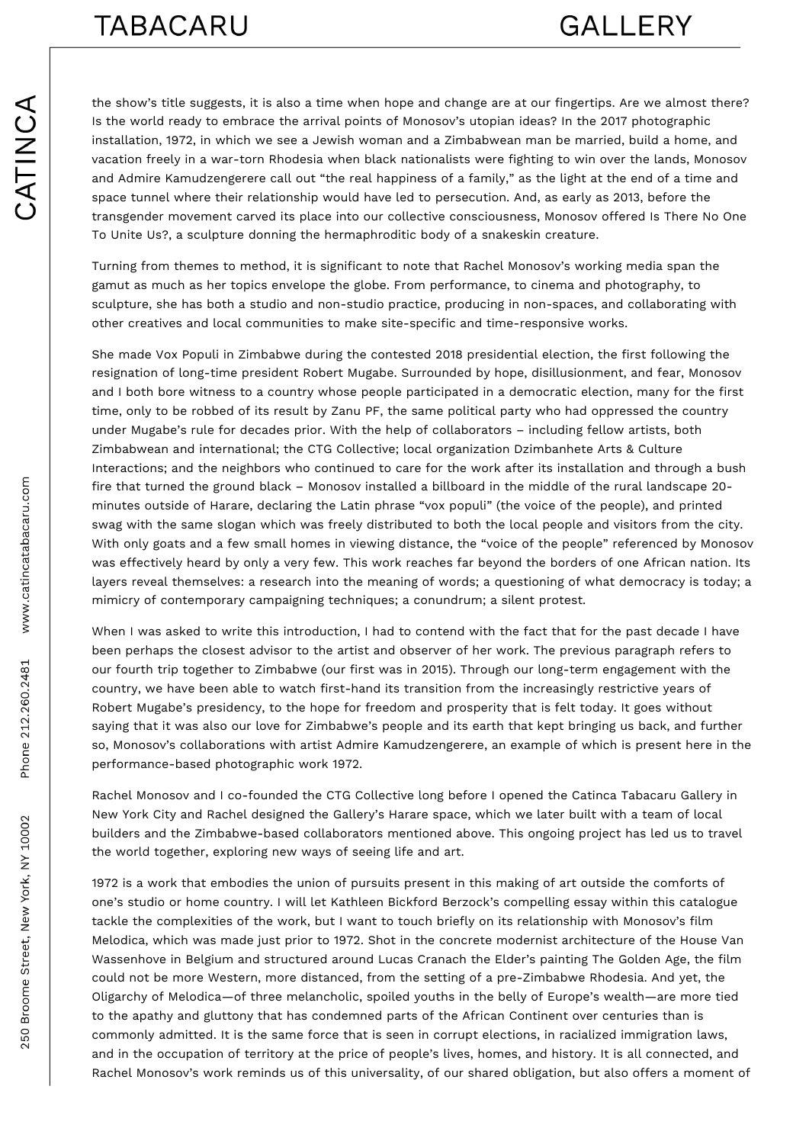the show's title suggests, it is also a time when hope and change are at our fingertips. Are we almost there? Is the world ready to embrace the arrival points of Monosov's utopian ideas? In the 2017 photographic installation, 1972, in which we see a Jewish woman and a Zimbabwean man be married, build a home, and vacation freely in a war-torn Rhodesia when black nationalists were fighting to win over the lands, Monosov and Admire Kamudzengerere call out "the real happiness of a family," as the light at the end of a time and space tunnel where their relationship would have led to persecution. And, as early as 2013, before the transgender movement carved its place into our collective consciousness, Monosov offered Is There No One To Unite Us?, a sculpture donning the hermaphroditic body of a snakeskin creature.

Turning from themes to method, it is significant to note that Rachel Monosov's working media span the gamut as much as her topics envelope the globe. From performance, to cinema and photography, to sculpture, she has both a studio and non-studio practice, producing in non-spaces, and collaborating with other creatives and local communities to make site-specific and time-responsive works.

She made Vox Populi in Zimbabwe during the contested 2018 presidential election, the first following the resignation of long-time president Robert Mugabe. Surrounded by hope, disillusionment, and fear, Monosov and I both bore witness to a country whose people participated in a democratic election, many for the first time, only to be robbed of its result by Zanu PF, the same political party who had oppressed the country under Mugabe's rule for decades prior. With the help of collaborators – including fellow artists, both Zimbabwean and international; the CTG Collective; local organization Dzimbanhete Arts & Culture Interactions; and the neighbors who continued to care for the work after its installation and through a bush fire that turned the ground black – Monosov installed a billboard in the middle of the rural landscape 20 minutes outside of Harare, declaring the Latin phrase "vox populi" (the voice of the people), and printed swag with the same slogan which was freely distributed to both the local people and visitors from the city. With only goats and a few small homes in viewing distance, the "voice of the people" referenced by Monosov was effectively heard by only a very few. This work reaches far beyond the borders of one African nation. Its layers reveal themselves: a research into the meaning of words; a questioning of what democracy is today; a mimicry of contemporary campaigning techniques; a conundrum; a silent protest.

When I was asked to write this introduction, I had to contend with the fact that for the past decade I have been perhaps the closest advisor to the artist and observer of her work. The previous paragraph refers to our fourth trip together to Zimbabwe (our first was in 2015). Through our long-term engagement with the country, we have been able to watch first-hand its transition from the increasingly restrictive years of Robert Mugabe's presidency, to the hope for freedom and prosperity that is felt today. It goes without saying that it was also our love for Zimbabwe's people and its earth that kept bringing us back, and further so, Monosov's collaborations with artist Admire Kamudzengerere, an example of which is present here in the performance-based photographic work 1972.

Rachel Monosov and I co-founded the CTG Collective long before I opened the Catinca Tabacaru Gallery in New York City and Rachel designed the Gallery's Harare space, which we later built with a team of local builders and the Zimbabwe-based collaborators mentioned above. This ongoing project has led us to travel the world together, exploring new ways of seeing life and art.

1972 is a work that embodies the union of pursuits present in this making of art outside the comforts of one's studio or home country. I will let Kathleen Bickford Berzock's compelling essay within this catalogue tackle the complexities of the work, but I want to touch briefly on its relationship with Monosov's film Melodica, which was made just prior to 1972. Shot in the concrete modernist architecture of the House Van Wassenhove in Belgium and structured around Lucas Cranach the Elder's painting The Golden Age, the film could not be more Western, more distanced, from the setting of a pre-Zimbabwe Rhodesia. And yet, the Oligarchy of Melodica—of three melancholic, spoiled youths in the belly of Europe's wealth—are more tied to the apathy and gluttony that has condemned parts of the African Continent over centuries than is commonly admitted. It is the same force that is seen in corrupt elections, in racialized immigration laws, and in the occupation of territory at the price of people's lives, homes, and history. It is all connected, and Rachel Monosov's work reminds us of this universality, of our shared obligation, but also offers a moment of